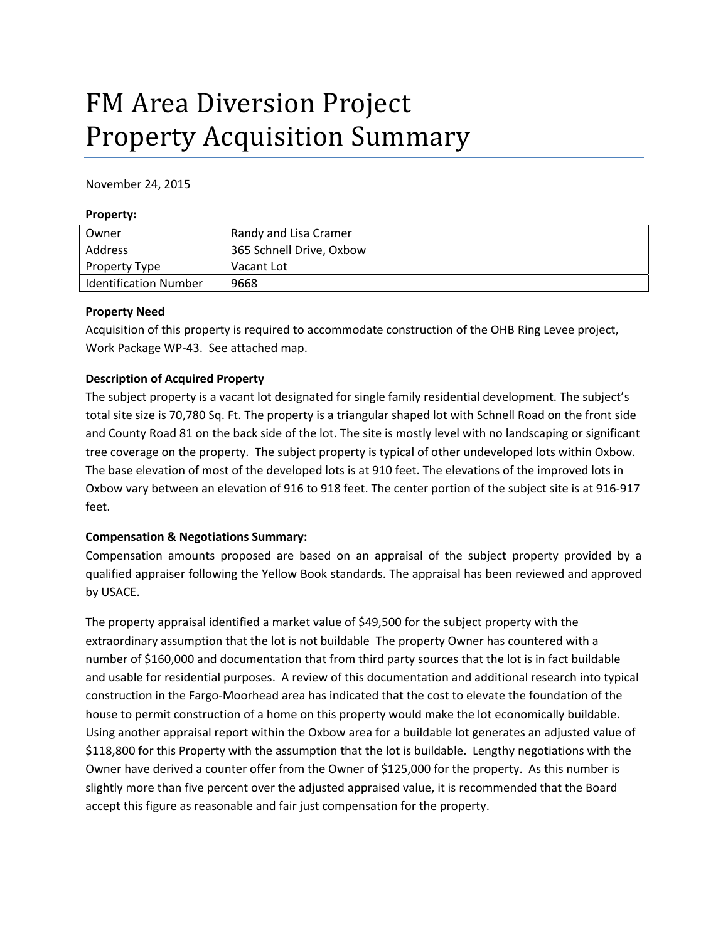# FM Area Diversion Project Property Acquisition Summary

November 24, 2015

#### **Property:**

| Owner                        | Randy and Lisa Cramer    |
|------------------------------|--------------------------|
| Address                      | 365 Schnell Drive, Oxbow |
| Property Type                | Vacant Lot               |
| <b>Identification Number</b> | 9668                     |

#### **Property Need**

Acquisition of this property is required to accommodate construction of the OHB Ring Levee project, Work Package WP‐43. See attached map.

#### **Description of Acquired Property**

The subject property is a vacant lot designated for single family residential development. The subject's total site size is 70,780 Sq. Ft. The property is a triangular shaped lot with Schnell Road on the front side and County Road 81 on the back side of the lot. The site is mostly level with no landscaping or significant tree coverage on the property. The subject property is typical of other undeveloped lots within Oxbow. The base elevation of most of the developed lots is at 910 feet. The elevations of the improved lots in Oxbow vary between an elevation of 916 to 918 feet. The center portion of the subject site is at 916‐917 feet.

#### **Compensation & Negotiations Summary:**

Compensation amounts proposed are based on an appraisal of the subject property provided by a qualified appraiser following the Yellow Book standards. The appraisal has been reviewed and approved by USACE.

The property appraisal identified a market value of \$49,500 for the subject property with the extraordinary assumption that the lot is not buildable The property Owner has countered with a number of \$160,000 and documentation that from third party sources that the lot is in fact buildable and usable for residential purposes. A review of this documentation and additional research into typical construction in the Fargo‐Moorhead area has indicated that the cost to elevate the foundation of the house to permit construction of a home on this property would make the lot economically buildable. Using another appraisal report within the Oxbow area for a buildable lot generates an adjusted value of \$118,800 for this Property with the assumption that the lot is buildable. Lengthy negotiations with the Owner have derived a counter offer from the Owner of \$125,000 for the property. As this number is slightly more than five percent over the adjusted appraised value, it is recommended that the Board accept this figure as reasonable and fair just compensation for the property.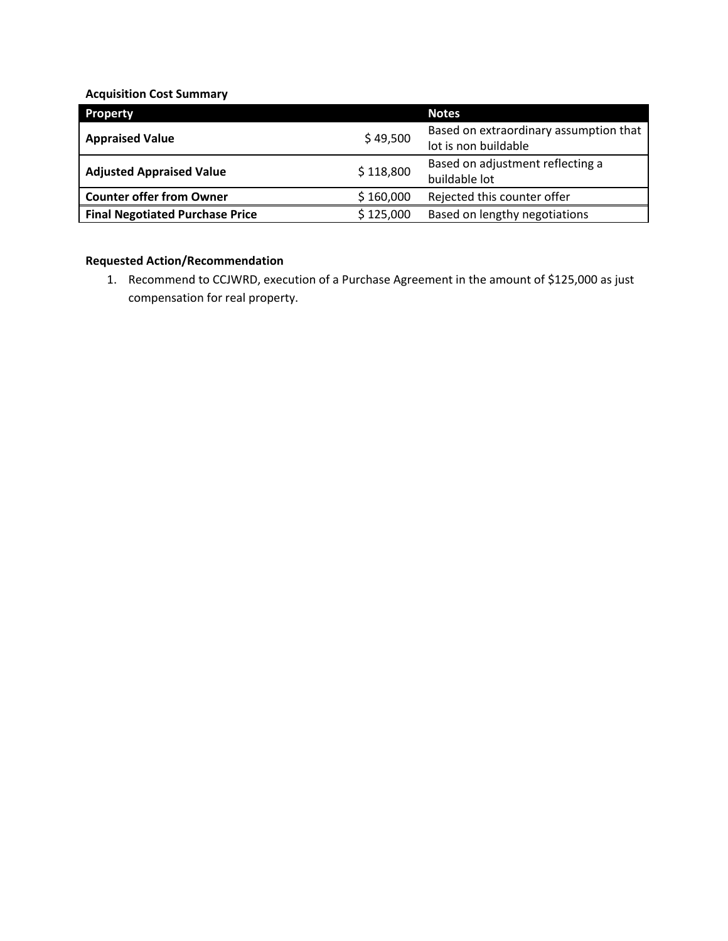## **Acquisition Cost Summary**

| <b>Property</b>                        |           | <b>Notes</b>                           |
|----------------------------------------|-----------|----------------------------------------|
| <b>Appraised Value</b>                 | \$49,500  | Based on extraordinary assumption that |
|                                        |           | lot is non buildable                   |
| <b>Adjusted Appraised Value</b>        | \$118,800 | Based on adjustment reflecting a       |
|                                        |           | buildable lot                          |
| <b>Counter offer from Owner</b>        | \$160,000 | Rejected this counter offer            |
| <b>Final Negotiated Purchase Price</b> | \$125,000 | Based on lengthy negotiations          |

### **Requested Action/Recommendation**

1. Recommend to CCJWRD, execution of a Purchase Agreement in the amount of \$125,000 as just compensation for real property.